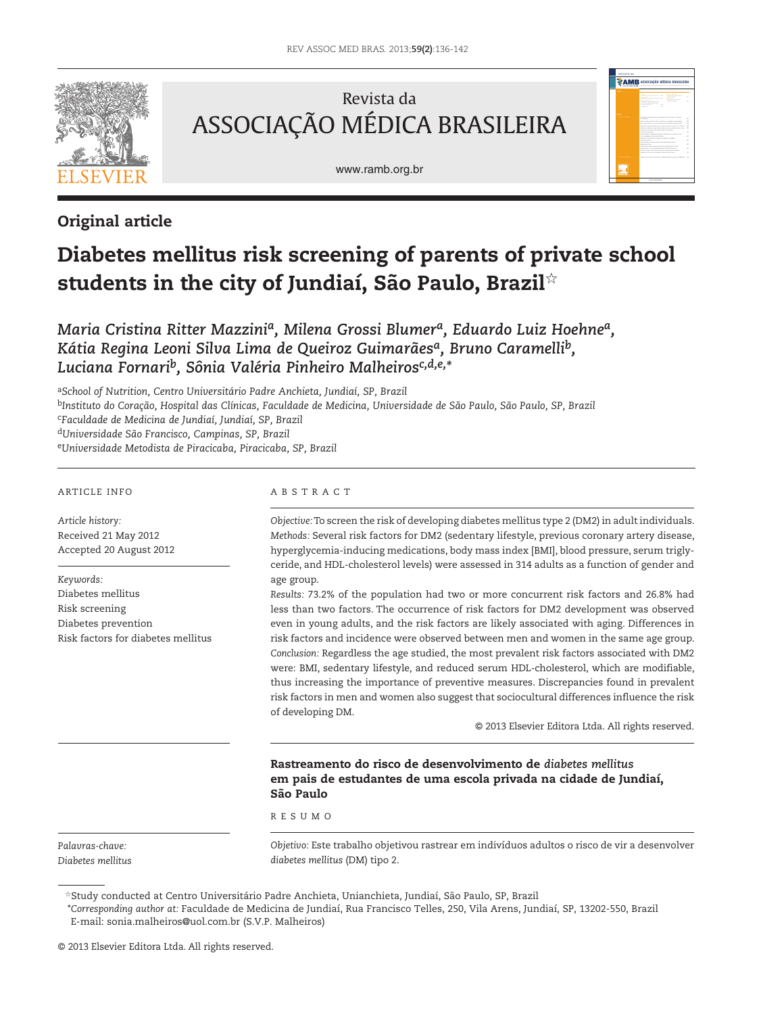

## Revista da ASSOCIAÇÃO MÉDICA BRASILEIRA

www.ramb.org.br



## Original article

# Diabetes mellitus risk screening of parents of private school students in the city of Jundiaí, São Paulo, Brazil $^{\star}$

*Maria Cristina Ritter Mazzinia, Milena Grossi Blumera, Eduardo Luiz Hoehnea, Kátia Regina Leoni Silva Lima de Queiroz Guimarãesa, Bruno Caramellib, Luciana Fornarib, Sônia Valéria Pinheiro Malheirosc,d,e,\**

<sup>a</sup>*School of Nutrition, Centro Universitário Padre Anchieta, Jundiaí, SP, Brazil*

<sup>b</sup>*Instituto do Coração, Hospital das Clínicas, Faculdade de Medicina, Universidade de São Paulo, São Paulo, SP, Brazil* <sup>c</sup>*Faculdade de Medicina de Jundiaí, Jundiaí, SP, Brazil*

<sup>d</sup>*Universidade São Francisco, Campinas, SP, Brazil*

<sup>e</sup>*Universidade Metodista de Piracicaba, Piracicaba, SP, Brazil*

## ARTICLE INFO

*Article history:* Received 21 May 2012 Accepted 20 August 2012

*Keywords:* Diabetes mellitus Risk screening Diabetes prevention Risk factors for diabetes mellitus

## ABSTRACT

*Objective:* To screen the risk of developing diabetes mellitus type 2 (DM2) in adult individuals. *Methods:* Several risk factors for DM2 (sedentary lifestyle, previous coronary artery disease, hyperglycemia-inducing medications, body mass index [BMI], blood pressure, serum triglyceride, and HDL-cholesterol levels) were assessed in 314 adults as a function of gender and age group.

*Results:* 73.2% of the population had two or more concurrent risk factors and 26.8% had less than two factors. The occurrence of risk factors for DM2 development was observed even in young adults, and the risk factors are likely associated with aging. Differences in risk factors and incidence were observed between men and women in the same age group. *Conclusion:* Regardless the age studied, the most prevalent risk factors associated with DM2 were: BMI, sedentary lifestyle, and reduced serum HDL-cholesterol, which are modifiable, thus increasing the importance of preventive measures. Discrepancies found in prevalent risk factors in men and women also suggest that sociocultural differences influence the risk of developing DM.

© 2013 Elsevier Editora Ltda. All rights reserved.

## Rastreamento do risco de desenvolvimento de *diabetes mellitus* em pais de estudantes de uma escola privada na cidade de Jundiaí, São Paulo

RESUMO

*Palavras-chave: Diabetes mellitus* *Objetivo:* Este trabalho objetivou rastrear em indivíduos adultos o risco de vir a desenvolver *diabetes mellitus* (DM) tipo 2.

<sup>q</sup>Study conducted at Centro Universitário Padre Anchieta, Unianchieta, Jundiaí, São Paulo, SP, Brazil

<sup>\*</sup>*Corresponding author at:* Faculdade de Medicina de Jundiaí, Rua Francisco Telles, 250, Vila Arens, Jundiaí, SP, 13202-550, Brazil E-mail: sonia.malheiros@uol.com.br (S.V.P. Malheiros)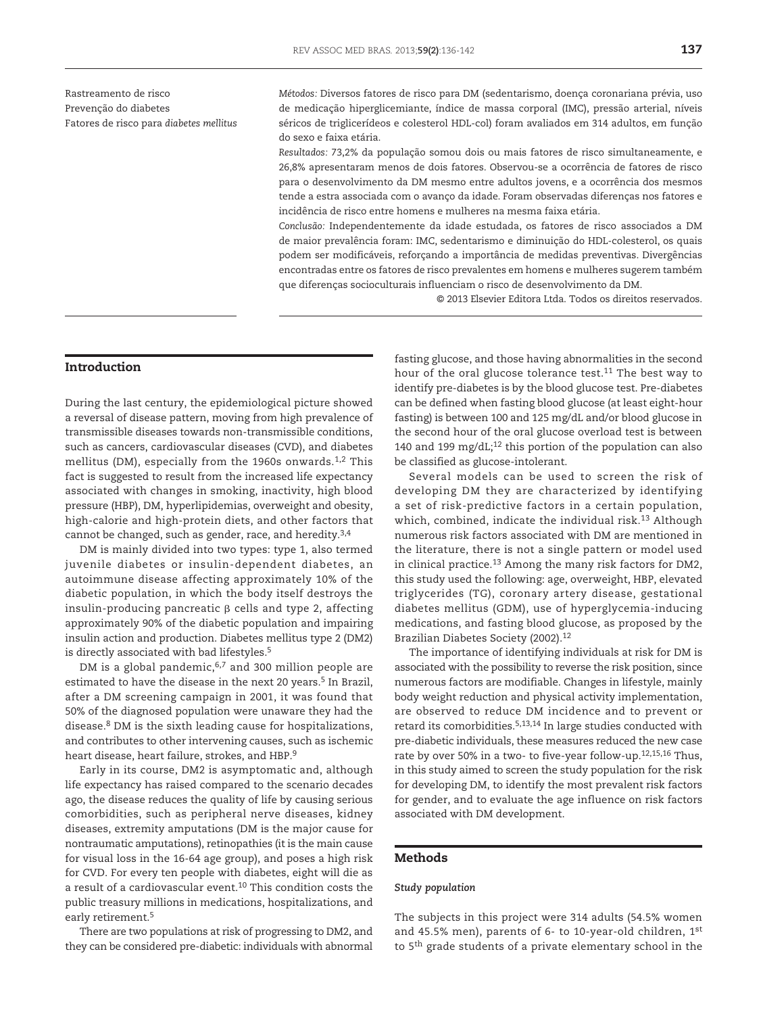Rastreamento de risco Prevenção do diabetes Fatores de risco para *diabetes mellitus* *Métodos:* Diversos fatores de risco para DM (sedentarismo, doença coronariana prévia, uso de medicação hiperglicemiante, índice de massa corporal (IMC), pressão arterial, níveis séricos de triglicerídeos e colesterol HDL-col) foram avaliados em 314 adultos, em função do sexo e faixa etária.

*Resultados:* 73,2% da população somou dois ou mais fatores de risco simultaneamente, e 26,8% apresentaram menos de dois fatores. Observou-se a ocorrência de fatores de risco para o desenvolvimento da DM mesmo entre adultos jovens, e a ocorrência dos mesmos tende a estra associada com o avanço da idade. Foram observadas diferenças nos fatores e incidência de risco entre homens e mulheres na mesma faixa etária.

*Conclusão:* Independentemente da idade estudada, os fatores de risco associados a DM de maior prevalência foram: IMC, sedentarismo e diminuição do HDL-colesterol, os quais podem ser modificáveis, reforçando a importância de medidas preventivas. Divergências encontradas entre os fatores de risco prevalentes em homens e mulheres sugerem também que diferenças socioculturais influenciam o risco de desenvolvimento da DM.

© 2013 Elsevier Editora Ltda. Todos os direitos reservados.

## Introduction

During the last century, the epidemiological picture showed a reversal of disease pattern, moving from high prevalence of transmissible diseases towards non-transmissible conditions, such as cancers, cardiovascular diseases (CVD), and diabetes mellitus (DM), especially from the 1960s onwards. $1,2$  This fact is suggested to result from the increased life expectancy associated with changes in smoking, inactivity, high blood pressure (HBP), DM, hyperlipidemias, overweight and obesity, high-calorie and high-protein diets, and other factors that cannot be changed, such as gender, race, and heredity.<sup>3,4</sup>

DM is mainly divided into two types: type 1, also termed juvenile diabetes or insulin-dependent diabetes, an autoimmune disease affecting approximately 10% of the diabetic population, in which the body itself destroys the insulin-producing pancreatic  $\beta$  cells and type 2, affecting approximately 90% of the diabetic population and impairing insulin action and production. Diabetes mellitus type 2 (DM2) is directly associated with bad lifestyles.<sup>5</sup>

DM is a global pandemic,  $6,7$  and 300 million people are estimated to have the disease in the next 20 years.<sup>5</sup> In Brazil, after a DM screening campaign in 2001, it was found that 50% of the diagnosed population were unaware they had the disease.8 DM is the sixth leading cause for hospitalizations, and contributes to other intervening causes, such as ischemic heart disease, heart failure, strokes, and HBP.9

Early in its course, DM2 is asymptomatic and, although life expectancy has raised compared to the scenario decades ago, the disease reduces the quality of life by causing serious comorbidities, such as peripheral nerve diseases, kidney diseases, extremity amputations (DM is the major cause for nontraumatic amputations), retinopathies (it is the main cause for visual loss in the 16-64 age group), and poses a high risk for CVD. For every ten people with diabetes, eight will die as a result of a cardiovascular event.<sup>10</sup> This condition costs the public treasury millions in medications, hospitalizations, and early retirement.<sup>5</sup>

There are two populations at risk of progressing to DM2, and they can be considered pre-diabetic: individuals with abnormal

fasting glucose, and those having abnormalities in the second hour of the oral glucose tolerance test.<sup>11</sup> The best way to identify pre-diabetes is by the blood glucose test. Pre-diabetes can be defined when fasting blood glucose (at least eight-hour fasting) is between 100 and 125 mg/dL and/or blood glucose in the second hour of the oral glucose overload test is between 140 and 199 mg/dL; $^{12}$  this portion of the population can also be classified as glucose-intolerant.

Several models can be used to screen the risk of developing DM they are characterized by identifying a set of risk-predictive factors in a certain population, which, combined, indicate the individual risk.<sup>13</sup> Although numerous risk factors associated with DM are mentioned in the literature, there is not a single pattern or model used in clinical practice.<sup>13</sup> Among the many risk factors for DM2, this study used the following: age, overweight, HBP, elevated triglycerides (TG), coronary artery disease, gestational diabetes mellitus (GDM), use of hyperglycemia-inducing medications, and fasting blood glucose, as proposed by the Brazilian Diabetes Society (2002).<sup>12</sup>

The importance of identifying individuals at risk for DM is associated with the possibility to reverse the risk position, since numerous factors are modifiable. Changes in lifestyle, mainly body weight reduction and physical activity implementation, are observed to reduce DM incidence and to prevent or retard its comorbidities.5,13,14 In large studies conducted with pre-diabetic individuals, these measures reduced the new case rate by over 50% in a two- to five-year follow-up.12,15,16 Thus, in this study aimed to screen the study population for the risk for developing DM, to identify the most prevalent risk factors for gender, and to evaluate the age influence on risk factors associated with DM development.

## Methods

#### *Study population*

The subjects in this project were 314 adults (54.5% women and 45.5% men), parents of 6- to 10-year-old children, 1st to 5<sup>th</sup> grade students of a private elementary school in the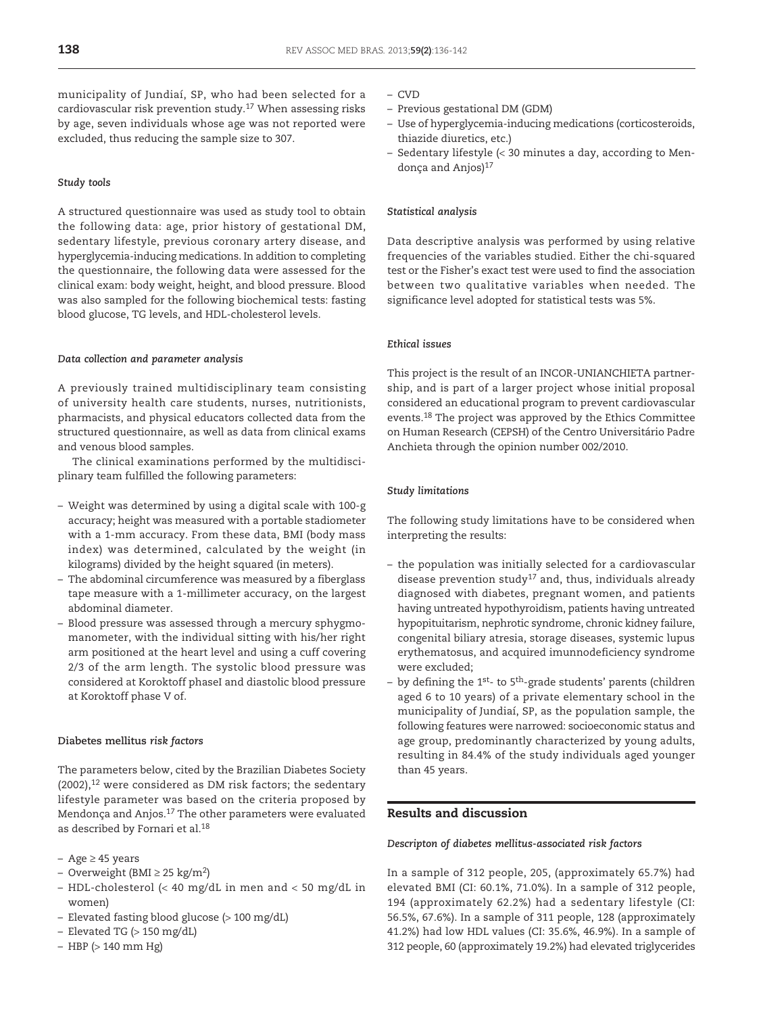municipality of Jundiaí, SP, who had been selected for a cardiovascular risk prevention study.17 When assessing risks by age, seven individuals whose age was not reported were excluded, thus reducing the sample size to 307.

## *Study tools*

A structured questionnaire was used as study tool to obtain the following data: age, prior history of gestational DM, sedentary lifestyle, previous coronary artery disease, and hyperglycemia-inducing medications. In addition to completing the questionnaire, the following data were assessed for the clinical exam: body weight, height, and blood pressure. Blood was also sampled for the following biochemical tests: fasting blood glucose, TG levels, and HDL-cholesterol levels.

#### *Data collection and parameter analysis*

A previously trained multidisciplinary team consisting of university health care students, nurses, nutritionists, pharmacists, and physical educators collected data from the structured questionnaire, as well as data from clinical exams and venous blood samples.

The clinical examinations performed by the multidisciplinary team fulfilled the following parameters:

- Weight was determined by using a digital scale with 100-g accuracy; height was measured with a portable stadiometer with a 1-mm accuracy. From these data, BMI (body mass index) was determined, calculated by the weight (in kilograms) divided by the height squared (in meters).
- The abdominal circumference was measured by a fiberglass tape measure with a 1-millimeter accuracy, on the largest abdominal diameter.
- Blood pressure was assessed through a mercury sphygmomanometer, with the individual sitting with his/her right arm positioned at the heart level and using a cuff covering 2/3 of the arm length. The systolic blood pressure was considered at Koroktoff phaseI and diastolic blood pressure at Koroktoff phase V of.

### **Diabetes mellitus** *risk factors*

The parameters below, cited by the Brazilian Diabetes Society  $(2002),<sup>12</sup>$  were considered as DM risk factors; the sedentary lifestyle parameter was based on the criteria proposed by Mendonça and Anjos.17 The other parameters were evaluated as described by Fornari et al.<sup>18</sup>

- Age ≥ 45 years
- Overweight (BMI ≥ 25 kg/m2)
- HDL-cholesterol (< 40 mg/dL in men and < 50 mg/dL in women)
- Elevated fasting blood glucose (> 100 mg/dL)
- Elevated TG (> 150 mg/dL)
- $-$  HBP ( $> 140$  mm Hg)
- $-$  CVD
- Previous gestational DM (GDM)
- Use of hyperglycemia-inducing medications (corticosteroids, thiazide diuretics, etc.)
- Sedentary lifestyle (< 30 minutes a day, according to Mendonça and Anjos)<sup>17</sup>

#### *Statistical analysis*

Data descriptive analysis was performed by using relative frequencies of the variables studied. Either the chi-squared test or the Fisher's exact test were used to find the association between two qualitative variables when needed. The significance level adopted for statistical tests was 5%.

## *Ethical issues*

This project is the result of an INCOR-UNIANCHIETA partnership, and is part of a larger project whose initial proposal considered an educational program to prevent cardiovascular events.18 The project was approved by the Ethics Committee on Human Research (CEPSH) of the Centro Universitário Padre Anchieta through the opinion number 002/2010.

#### *Study limitations*

The following study limitations have to be considered when interpreting the results:

- the population was initially selected for a cardiovascular disease prevention study<sup>17</sup> and, thus, individuals already diagnosed with diabetes, pregnant women, and patients having untreated hypothyroidism, patients having untreated hypopituitarism, nephrotic syndrome, chronic kidney failure, congenital biliary atresia, storage diseases, systemic lupus erythematosus, and acquired imunnodeficiency syndrome were excluded;
- by defining the  $1^{st}$  to  $5^{th}$ -grade students' parents (children aged 6 to 10 years) of a private elementary school in the municipality of Jundiaí, SP, as the population sample, the following features were narrowed: socioeconomic status and age group, predominantly characterized by young adults, resulting in 84.4% of the study individuals aged younger than 45 years.

## Results and discussion

#### *Descripton of diabetes mellitus‑associated risk factors*

In a sample of 312 people, 205, (approximately 65.7%) had elevated BMI (CI: 60.1%, 71.0%). In a sample of 312 people, 194 (approximately 62.2%) had a sedentary lifestyle (CI: 56.5%, 67.6%). In a sample of 311 people, 128 (approximately 41.2%) had low HDL values (CI: 35.6%, 46.9%). In a sample of 312 people, 60 (approximately 19.2%) had elevated triglycerides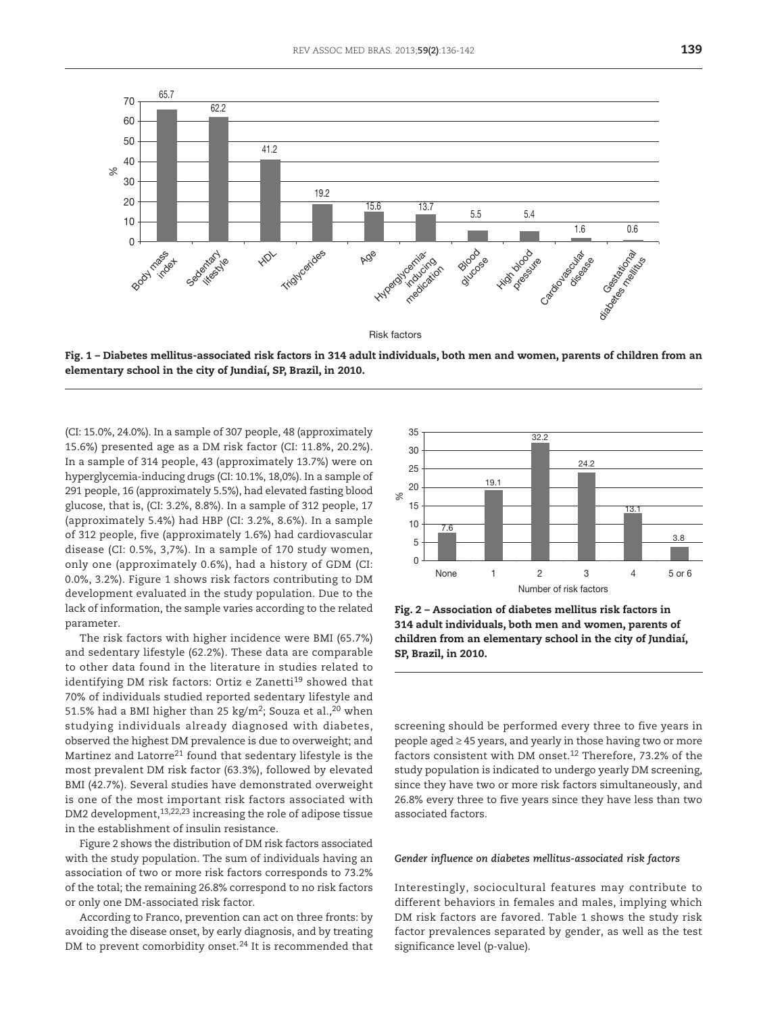

Fig. 1 – Diabetes mellitus-associated risk factors in 314 adult individuals, both men and women, parents of children from an elementary school in the city of Jundiaí, SP, Brazil, in 2010.

(CI: 15.0%, 24.0%). In a sample of 307 people, 48 (approximately 15.6%) presented age as a DM risk factor (CI: 11.8%, 20.2%). In a sample of 314 people, 43 (approximately 13.7%) were on hyperglycemia-inducing drugs (CI: 10.1%, 18,0%). In a sample of 291 people, 16 (approximately 5.5%), had elevated fasting blood glucose, that is, (CI: 3.2%, 8.8%). In a sample of 312 people, 17 (approximately 5.4%) had HBP (CI: 3.2%, 8.6%). In a sample of 312 people, five (approximately 1.6%) had cardiovascular disease (CI: 0.5%, 3,7%). In a sample of 170 study women, only one (approximately 0.6%), had a history of GDM (CI: 0.0%, 3.2%). Figure 1 shows risk factors contributing to DM development evaluated in the study population. Due to the lack of information, the sample varies according to the related parameter.

The risk factors with higher incidence were BMI (65.7%) and sedentary lifestyle (62.2%). These data are comparable to other data found in the literature in studies related to identifying DM risk factors: Ortiz e Zanetti<sup>19</sup> showed that 70% of individuals studied reported sedentary lifestyle and 51.5% had a BMI higher than 25 kg/m<sup>2</sup>; Souza et al.,<sup>20</sup> when studying individuals already diagnosed with diabetes, observed the highest DM prevalence is due to overweight; and Martinez and Latorre21 found that sedentary lifestyle is the most prevalent DM risk factor (63.3%), followed by elevated BMI (42.7%). Several studies have demonstrated overweight is one of the most important risk factors associated with DM2 development,<sup>13,22,23</sup> increasing the role of adipose tissue in the establishment of insulin resistance.

Figure 2 shows the distribution of DM risk factors associated with the study population. The sum of individuals having an association of two or more risk factors corresponds to 73.2% of the total; the remaining 26.8% correspond to no risk factors or only one DM-associated risk factor.

According to Franco, prevention can act on three fronts: by avoiding the disease onset, by early diagnosis, and by treating DM to prevent comorbidity onset. $24$  It is recommended that



Fig. 2 – Association of diabetes mellitus risk factors in 314 adult individuals, both men and women, parents of children from an elementary school in the city of Jundiaí, SP, Brazil, in 2010.

screening should be performed every three to five years in people aged ≥ 45 years, and yearly in those having two or more factors consistent with DM onset.12 Therefore, 73.2% of the study population is indicated to undergo yearly DM screening, since they have two or more risk factors simultaneously, and 26.8% every three to five years since they have less than two associated factors.

#### *Gender influence on diabetes mellitus‑associated risk factors*

Interestingly, sociocultural features may contribute to different behaviors in females and males, implying which DM risk factors are favored. Table 1 shows the study risk factor prevalences separated by gender, as well as the test significance level (p*-*value).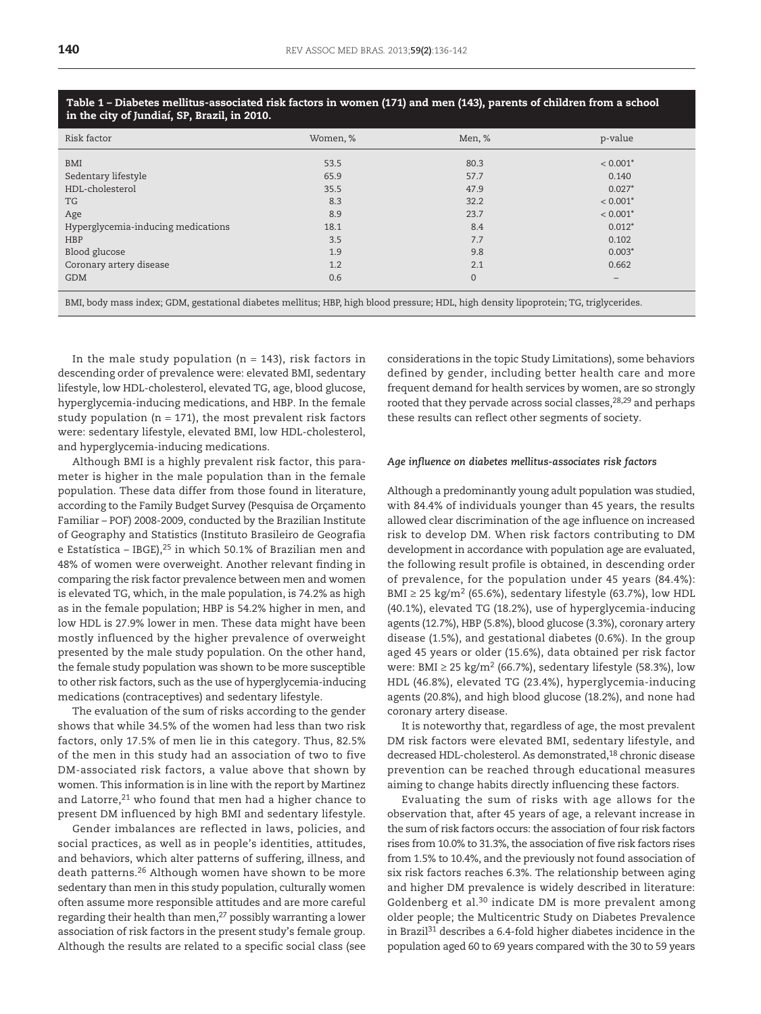| Table 1 – Diabetes mellitus-associated risk factors in women (171) and men (143), parents of children from a school |
|---------------------------------------------------------------------------------------------------------------------|
| in the city of Jundiaí, SP, Brazil, in 2010.                                                                        |

| Risk factor                                                                                                                           | Women, % | Men, %   | p-value                |  |  |
|---------------------------------------------------------------------------------------------------------------------------------------|----------|----------|------------------------|--|--|
| BMI                                                                                                                                   | 53.5     | 80.3     | $< 0.001$ <sup>*</sup> |  |  |
| Sedentary lifestyle                                                                                                                   | 65.9     | 57.7     | 0.140                  |  |  |
| HDL-cholesterol                                                                                                                       | 35.5     | 47.9     | $0.027*$               |  |  |
| <b>TG</b>                                                                                                                             | 8.3      | 32.2     | $< 0.001$ <sup>*</sup> |  |  |
| Age                                                                                                                                   | 8.9      | 23.7     | $< 0.001$ <sup>*</sup> |  |  |
| Hyperglycemia-inducing medications                                                                                                    | 18.1     | 8.4      | $0.012*$               |  |  |
| <b>HBP</b>                                                                                                                            | 3.5      | 7.7      | 0.102                  |  |  |
| Blood glucose                                                                                                                         | 1.9      | 9.8      | $0.003*$               |  |  |
| Coronary artery disease                                                                                                               | 1.2      | 2.1      | 0.662                  |  |  |
| <b>GDM</b>                                                                                                                            | 0.6      | $\Omega$ | $\qquad \qquad -$      |  |  |
| BMI, body mass index; GDM, gestational diabetes mellitus; HBP, high blood pressure; HDL, high density lipoprotein; TG, triglycerides. |          |          |                        |  |  |

In the male study population ( $n = 143$ ), risk factors in descending order of prevalence were: elevated BMI, sedentary lifestyle, low HDL-cholesterol, elevated TG, age, blood glucose, hyperglycemia-inducing medications, and HBP. In the female study population ( $n = 171$ ), the most prevalent risk factors were: sedentary lifestyle, elevated BMI, low HDL-cholesterol, and hyperglycemia-inducing medications.

Although BMI is a highly prevalent risk factor, this parameter is higher in the male population than in the female population. These data differ from those found in literature, according to the Family Budget Survey (Pesquisa de Orçamento Familiar – POF) 2008-2009, conducted by the Brazilian Institute of Geography and Statistics (Instituto Brasileiro de Geografia e Estatística – IBGE), $25$  in which 50.1% of Brazilian men and 48% of women were overweight. Another relevant finding in comparing the risk factor prevalence between men and women is elevated TG, which, in the male population, is 74.2% as high as in the female population; HBP is 54.2% higher in men, and low HDL is 27.9% lower in men. These data might have been mostly influenced by the higher prevalence of overweight presented by the male study population. On the other hand, the female study population was shown to be more susceptible to other risk factors, such as the use of hyperglycemia-inducing medications (contraceptives) and sedentary lifestyle.

The evaluation of the sum of risks according to the gender shows that while 34.5% of the women had less than two risk factors, only 17.5% of men lie in this category. Thus, 82.5% of the men in this study had an association of two to five DM-associated risk factors, a value above that shown by women. This information is in line with the report by Martinez and Latorre, $21$  who found that men had a higher chance to present DM influenced by high BMI and sedentary lifestyle.

Gender imbalances are reflected in laws, policies, and social practices, as well as in people's identities, attitudes, and behaviors, which alter patterns of suffering, illness, and death patterns.26 Although women have shown to be more sedentary than men in this study population, culturally women often assume more responsible attitudes and are more careful regarding their health than men, $^{27}$  possibly warranting a lower association of risk factors in the present study's female group. Although the results are related to a specific social class (see considerations in the topic Study Limitations), some behaviors defined by gender, including better health care and more frequent demand for health services by women, are so strongly rooted that they pervade across social classes,<sup>28,29</sup> and perhaps these results can reflect other segments of society.

#### *Age influence on diabetes mellitus‑associates risk factors*

Although a predominantly young adult population was studied, with 84.4% of individuals younger than 45 years, the results allowed clear discrimination of the age influence on increased risk to develop DM. When risk factors contributing to DM development in accordance with population age are evaluated, the following result profile is obtained, in descending order of prevalence, for the population under 45 years (84.4%): BMI  $\geq$  25 kg/m<sup>2</sup> (65.6%), sedentary lifestyle (63.7%), low HDL (40.1%), elevated TG (18.2%), use of hyperglycemia-inducing agents (12.7%), HBP (5.8%), blood glucose (3.3%), coronary artery disease (1.5%), and gestational diabetes (0.6%). In the group aged 45 years or older (15.6%), data obtained per risk factor were: BMI  $\geq$  25 kg/m<sup>2</sup> (66.7%), sedentary lifestyle (58.3%), low HDL (46.8%), elevated TG (23.4%), hyperglycemia-inducing agents (20.8%), and high blood glucose (18.2%), and none had coronary artery disease.

It is noteworthy that, regardless of age, the most prevalent DM risk factors were elevated BMI, sedentary lifestyle, and decreased HDL-cholesterol. As demonstrated,<sup>18</sup> chronic disease prevention can be reached through educational measures aiming to change habits directly influencing these factors.

Evaluating the sum of risks with age allows for the observation that, after 45 years of age, a relevant increase in the sum of risk factors occurs: the association of four risk factors rises from 10.0% to 31.3%, the association of five risk factors rises from 1.5% to 10.4%, and the previously not found association of six risk factors reaches 6.3%. The relationship between aging and higher DM prevalence is widely described in literature: Goldenberg et al.<sup>30</sup> indicate DM is more prevalent among older people; the Multicentric Study on Diabetes Prevalence in Brazil31 describes a 6.4-fold higher diabetes incidence in the population aged 60 to 69 years compared with the 30 to 59 years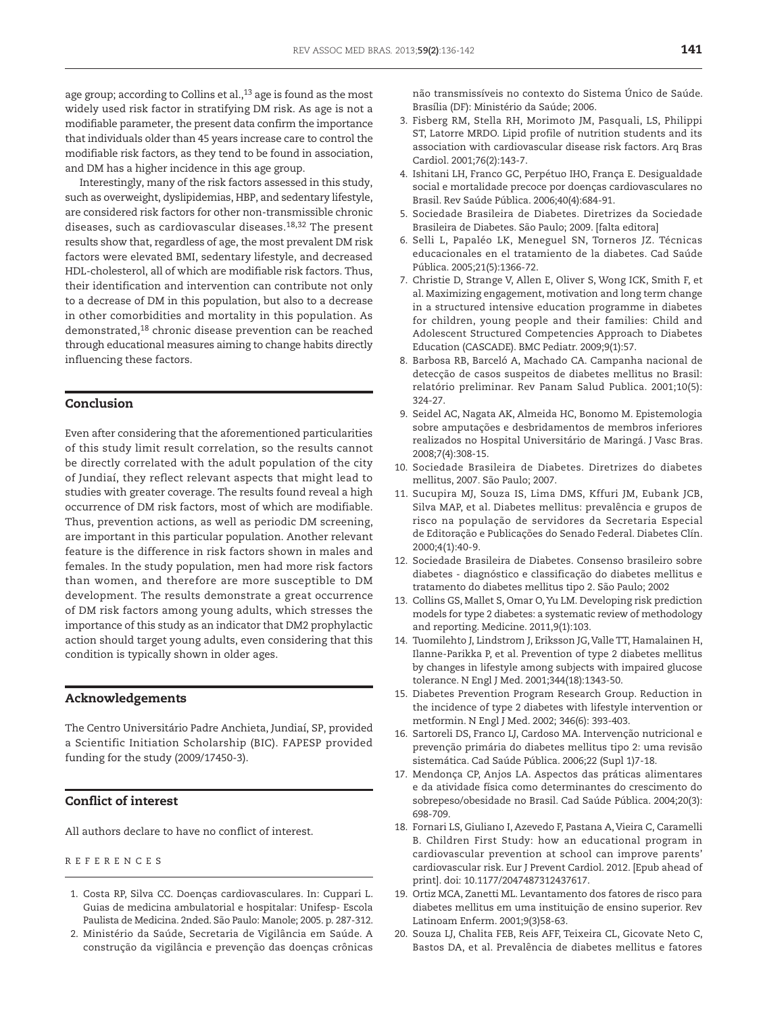age group; according to Collins et al.,<sup>13</sup> age is found as the most widely used risk factor in stratifying DM risk. As age is not a modifiable parameter, the present data confirm the importance that individuals older than 45 years increase care to control the modifiable risk factors, as they tend to be found in association, and DM has a higher incidence in this age group.

Interestingly, many of the risk factors assessed in this study, such as overweight, dyslipidemias, HBP, and sedentary lifestyle, are considered risk factors for other non-transmissible chronic diseases, such as cardiovascular diseases.<sup>18,32</sup> The present results show that, regardless of age, the most prevalent DM risk factors were elevated BMI, sedentary lifestyle, and decreased HDL-cholesterol, all of which are modifiable risk factors. Thus, their identification and intervention can contribute not only to a decrease of DM in this population, but also to a decrease in other comorbidities and mortality in this population. As demonstrated,<sup>18</sup> chronic disease prevention can be reached through educational measures aiming to change habits directly influencing these factors.

## Conclusion

Even after considering that the aforementioned particularities of this study limit result correlation, so the results cannot be directly correlated with the adult population of the city of Jundiaí, they reflect relevant aspects that might lead to studies with greater coverage. The results found reveal a high occurrence of DM risk factors, most of which are modifiable. Thus, prevention actions, as well as periodic DM screening, are important in this particular population. Another relevant feature is the difference in risk factors shown in males and females. In the study population, men had more risk factors than women, and therefore are more susceptible to DM development. The results demonstrate a great occurrence of DM risk factors among young adults, which stresses the importance of this study as an indicator that DM2 prophylactic action should target young adults, even considering that this condition is typically shown in older ages.

## Acknowledgements

The Centro Universitário Padre Anchieta, Jundiaí, SP, provided a Scientific Initiation Scholarship (BIC). FAPESP provided funding for the study (2009/17450-3).

## Conflict of interest

All authors declare to have no conflict of interest.

## REFERENCES

- 1. Costa RP, Silva CC. Doenças cardiovasculares. In: Cuppari L. Guias de medicina ambulatorial e hospitalar: Unifesp- Escola Paulista de Medicina. 2nded. São Paulo: Manole; 2005. p. 287-312.
- 2. Ministério da Saúde, Secretaria de Vigilância em Saúde. A construção da vigilância e prevenção das doenças crônicas

não transmissíveis no contexto do Sistema Único de Saúde. Brasília (DF): Ministério da Saúde; 2006.

- 3. Fisberg RM, Stella RH, Morimoto JM, Pasquali, LS, Philippi ST, Latorre MRDO. Lipid profile of nutrition students and its association with cardiovascular disease risk factors. Arq Bras Cardiol. 2001;76(2):143-7.
- 4. Ishitani LH, Franco GC, Perpétuo IHO, França E. Desigualdade social e mortalidade precoce por doenças cardiovasculares no Brasil. Rev Saúde Pública. 2006;40(4):684-91.
- 5. Sociedade Brasileira de Diabetes. Diretrizes da Sociedade Brasileira de Diabetes. São Paulo; 2009. [falta editora]
- 6. Selli L, Papaléo LK, Meneguel SN, Torneros JZ. Técnicas educacionales en el tratamiento de la diabetes. Cad Saúde Pública. 2005;21(5):1366-72.
- 7. Christie D, Strange V, Allen E, Oliver S, Wong ICK, Smith F, et al. Maximizing engagement, motivation and long term change in a structured intensive education programme in diabetes for children, young people and their families: Child and Adolescent Structured Competencies Approach to Diabetes Education (CASCADE). BMC Pediatr. 2009;9(1):57.
- 8. Barbosa RB, Barceló A, Machado CA. Campanha nacional de detecção de casos suspeitos de diabetes mellitus no Brasil: relatório preliminar. Rev Panam Salud Publica. 2001;10(5): 324-27.
- 9. Seidel AC, Nagata AK, Almeida HC, Bonomo M. Epistemologia sobre amputações e desbridamentos de membros inferiores realizados no Hospital Universitário de Maringá. J Vasc Bras. 2008;7(4):308-15.
- 10. Sociedade Brasileira de Diabetes. Diretrizes do diabetes mellitus, 2007*.* São Paulo; 2007.
- 11. Sucupira MJ, Souza IS, Lima DMS, Kffuri JM, Eubank JCB, Silva MAP, et al. Diabetes mellitus: prevalência e grupos de risco na população de servidores da Secretaria Especial de Editoração e Publicações do Senado Federal. Diabetes Clín. 2000;4(1):40-9.
- 12. Sociedade Brasileira de Diabetes. Consenso brasileiro sobre diabetes - diagnóstico e classificação do diabetes mellitus e tratamento do diabetes mellitus tipo 2. São Paulo; 2002
- 13. Collins GS, Mallet S, Omar O, Yu LM. Developing risk prediction models for type 2 diabetes: a systematic review of methodology and reporting. Medicine. 2011,9(1):103.
- 14. Tuomilehto J, Lindstrom J, Eriksson JG, Valle TT, Hamalainen H, Ilanne-Parikka P, et al. Prevention of type 2 diabetes mellitus by changes in lifestyle among subjects with impaired glucose tolerance. N Engl J Med. 2001;344(18):1343-50.
- 15. Diabetes Prevention Program Research Group. Reduction in the incidence of type 2 diabetes with lifestyle intervention or metformin. N Engl J Med. 2002; 346(6): 393-403.
- 16. Sartoreli DS, Franco LJ, Cardoso MA. Intervenção nutricional e prevenção primária do diabetes mellitus tipo 2: uma revisão sistemática. Cad Saúde Pública. 2006;22 (Supl 1)7-18.
- 17. Mendonça CP, Anjos LA. Aspectos das práticas alimentares e da atividade física como determinantes do crescimento do sobrepeso/obesidade no Brasil. Cad Saúde Pública. 2004;20(3): 698-709.
- 18. Fornari LS, Giuliano I, Azevedo F, Pastana A, Vieira C, Caramelli B. Children First Study: how an educational program in cardiovascular prevention at school can improve parents' cardiovascular risk. Eur J Prevent Cardiol. 2012. [Epub ahead of print]. doi: 10.1177/2047487312437617.
- 19. Ortiz MCA, Zanetti ML. Levantamento dos fatores de risco para diabetes mellitus em uma instituição de ensino superior. Rev Latinoam Enferm. 2001;9(3)58-63.
- 20. Souza LJ, Chalita FEB, Reis AFF, Teixeira CL, Gicovate Neto C, Bastos DA, et al. Prevalência de diabetes mellitus e fatores